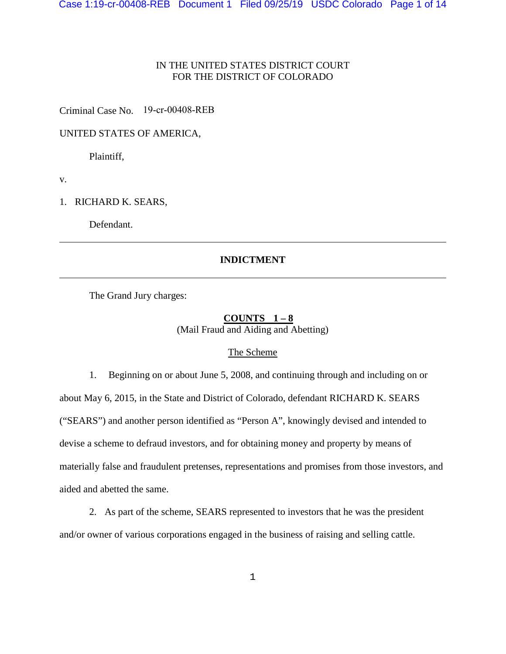# IN THE UNITED STATES DISTRICT COURT FOR THE DISTRICT OF COLORADO

Criminal Case No. 19-cr-00408-REB

# UNITED STATES OF AMERICA,

Plaintiff,

v.

1. RICHARD K. SEARS,

Defendant.

### **INDICTMENT**

The Grand Jury charges:

### **COUNTS 1 – 8**  (Mail Fraud and Aiding and Abetting)

### The Scheme

1. Beginning on or about June 5, 2008, and continuing through and including on or about May 6, 2015, in the State and District of Colorado, defendant RICHARD K. SEARS ("SEARS") and another person identified as "Person A", knowingly devised and intended to devise a scheme to defraud investors, and for obtaining money and property by means of materially false and fraudulent pretenses, representations and promises from those investors, and aided and abetted the same.

2. As part of the scheme, SEARS represented to investors that he was the president and/or owner of various corporations engaged in the business of raising and selling cattle.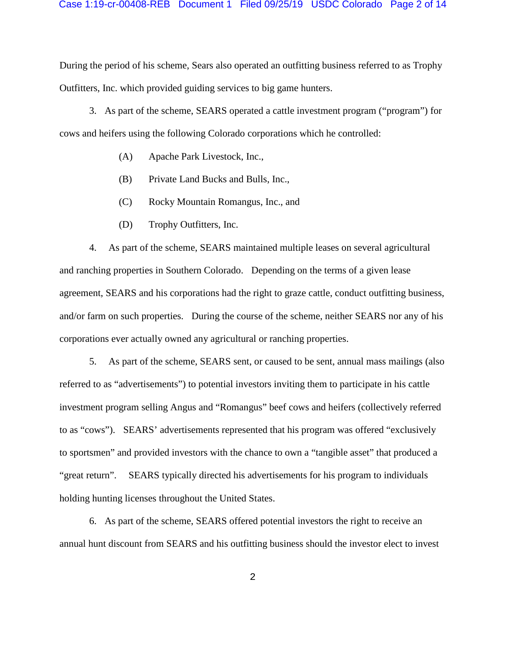During the period of his scheme, Sears also operated an outfitting business referred to as Trophy Outfitters, Inc. which provided guiding services to big game hunters.

3. As part of the scheme, SEARS operated a cattle investment program ("program") for cows and heifers using the following Colorado corporations which he controlled:

- (A) Apache Park Livestock, Inc.,
- (B) Private Land Bucks and Bulls, Inc.,
- (C) Rocky Mountain Romangus, Inc., and
- (D) Trophy Outfitters, Inc.

4. As part of the scheme, SEARS maintained multiple leases on several agricultural and ranching properties in Southern Colorado. Depending on the terms of a given lease agreement, SEARS and his corporations had the right to graze cattle, conduct outfitting business, and/or farm on such properties. During the course of the scheme, neither SEARS nor any of his corporations ever actually owned any agricultural or ranching properties.

5. As part of the scheme, SEARS sent, or caused to be sent, annual mass mailings (also referred to as "advertisements") to potential investors inviting them to participate in his cattle investment program selling Angus and "Romangus" beef cows and heifers (collectively referred to as "cows"). SEARS' advertisements represented that his program was offered "exclusively to sportsmen" and provided investors with the chance to own a "tangible asset" that produced a "great return". SEARS typically directed his advertisements for his program to individuals holding hunting licenses throughout the United States.

6. As part of the scheme, SEARS offered potential investors the right to receive an annual hunt discount from SEARS and his outfitting business should the investor elect to invest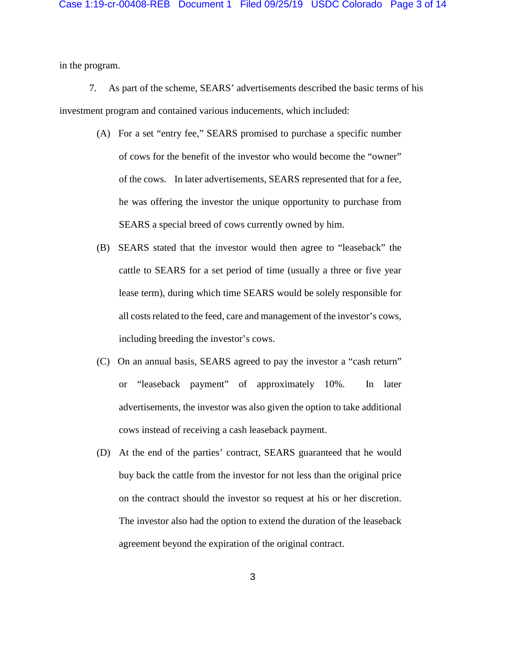in the program.

7. As part of the scheme, SEARS' advertisements described the basic terms of his investment program and contained various inducements, which included:

- (A) For a set "entry fee," SEARS promised to purchase a specific number of cows for the benefit of the investor who would become the "owner" of the cows. In later advertisements, SEARS represented that for a fee, he was offering the investor the unique opportunity to purchase from SEARS a special breed of cows currently owned by him.
- (B) SEARS stated that the investor would then agree to "leaseback" the cattle to SEARS for a set period of time (usually a three or five year lease term), during which time SEARS would be solely responsible for all costs related to the feed, care and management of the investor's cows, including breeding the investor's cows.
- (C) On an annual basis, SEARS agreed to pay the investor a "cash return" or "leaseback payment" of approximately 10%. In later advertisements, the investor was also given the option to take additional cows instead of receiving a cash leaseback payment.
- (D) At the end of the parties' contract, SEARS guaranteed that he would buy back the cattle from the investor for not less than the original price on the contract should the investor so request at his or her discretion. The investor also had the option to extend the duration of the leaseback agreement beyond the expiration of the original contract.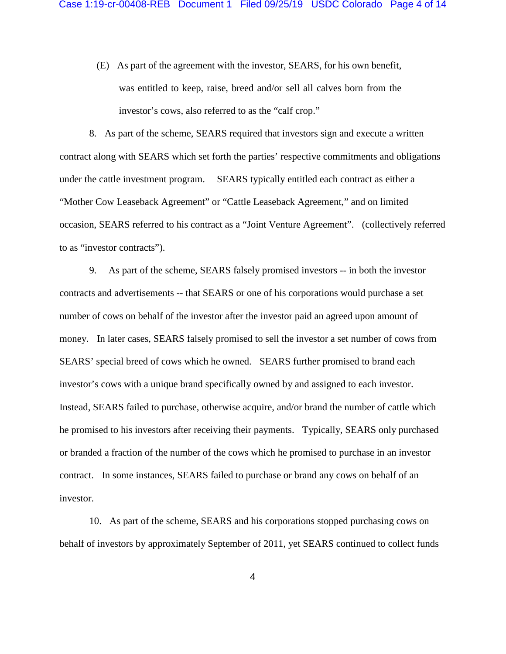(E) As part of the agreement with the investor, SEARS, for his own benefit, was entitled to keep, raise, breed and/or sell all calves born from the investor's cows, also referred to as the "calf crop."

8. As part of the scheme, SEARS required that investors sign and execute a written contract along with SEARS which set forth the parties' respective commitments and obligations under the cattle investment program. SEARS typically entitled each contract as either a "Mother Cow Leaseback Agreement" or "Cattle Leaseback Agreement," and on limited occasion, SEARS referred to his contract as a "Joint Venture Agreement". (collectively referred to as "investor contracts").

9. As part of the scheme, SEARS falsely promised investors -- in both the investor contracts and advertisements -- that SEARS or one of his corporations would purchase a set number of cows on behalf of the investor after the investor paid an agreed upon amount of money. In later cases, SEARS falsely promised to sell the investor a set number of cows from SEARS' special breed of cows which he owned. SEARS further promised to brand each investor's cows with a unique brand specifically owned by and assigned to each investor. Instead, SEARS failed to purchase, otherwise acquire, and/or brand the number of cattle which he promised to his investors after receiving their payments. Typically, SEARS only purchased or branded a fraction of the number of the cows which he promised to purchase in an investor contract. In some instances, SEARS failed to purchase or brand any cows on behalf of an investor.

10. As part of the scheme, SEARS and his corporations stopped purchasing cows on behalf of investors by approximately September of 2011, yet SEARS continued to collect funds

4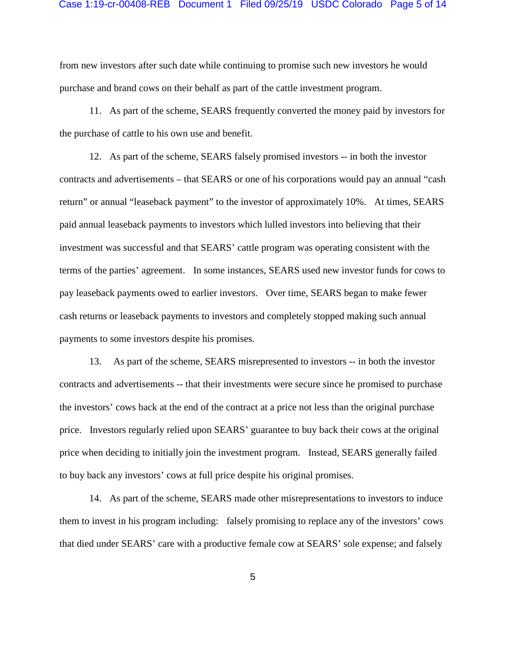#### Case 1:19-cr-00408-REB Document 1 Filed 09/25/19 USDC Colorado Page 5 of 14

from new investors after such date while continuing to promise such new investors he would purchase and brand cows on their behalf as part of the cattle investment program.

11. As part of the scheme, SEARS frequently converted the money paid by investors for the purchase of cattle to his own use and benefit.

12. As part of the scheme, SEARS falsely promised investors -- in both the investor contracts and advertisements – that SEARS or one of his corporations would pay an annual "cash return" or annual "leaseback payment" to the investor of approximately 10%. At times, SEARS paid annual leaseback payments to investors which lulled investors into believing that their investment was successful and that SEARS' cattle program was operating consistent with the terms of the parties' agreement. In some instances, SEARS used new investor funds for cows to pay leaseback payments owed to earlier investors. Over time, SEARS began to make fewer cash returns or leaseback payments to investors and completely stopped making such annual payments to some investors despite his promises.

13. As part of the scheme, SEARS misrepresented to investors -- in both the investor contracts and advertisements -- that their investments were secure since he promised to purchase the investors' cows back at the end of the contract at a price not less than the original purchase price. Investors regularly relied upon SEARS' guarantee to buy back their cows at the original price when deciding to initially join the investment program. Instead, SEARS generally failed to buy back any investors' cows at full price despite his original promises.

14. As part of the scheme, SEARS made other misrepresentations to investors to induce them to invest in his program including: falsely promising to replace any of the investors' cows that died under SEARS' care with a productive female cow at SEARS' sole expense; and falsely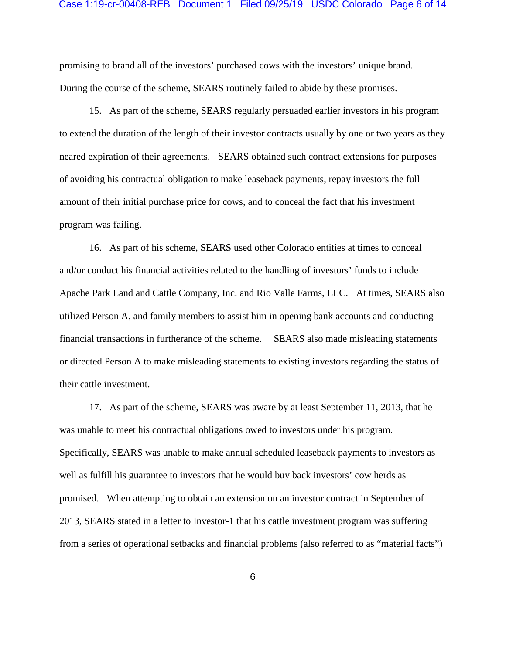#### Case 1:19-cr-00408-REB Document 1 Filed 09/25/19 USDC Colorado Page 6 of 14

promising to brand all of the investors' purchased cows with the investors' unique brand. During the course of the scheme, SEARS routinely failed to abide by these promises.

15. As part of the scheme, SEARS regularly persuaded earlier investors in his program to extend the duration of the length of their investor contracts usually by one or two years as they neared expiration of their agreements. SEARS obtained such contract extensions for purposes of avoiding his contractual obligation to make leaseback payments, repay investors the full amount of their initial purchase price for cows, and to conceal the fact that his investment program was failing.

16. As part of his scheme, SEARS used other Colorado entities at times to conceal and/or conduct his financial activities related to the handling of investors' funds to include Apache Park Land and Cattle Company, Inc. and Rio Valle Farms, LLC. At times, SEARS also utilized Person A, and family members to assist him in opening bank accounts and conducting financial transactions in furtherance of the scheme. SEARS also made misleading statements or directed Person A to make misleading statements to existing investors regarding the status of their cattle investment.

17. As part of the scheme, SEARS was aware by at least September 11, 2013, that he was unable to meet his contractual obligations owed to investors under his program. Specifically, SEARS was unable to make annual scheduled leaseback payments to investors as well as fulfill his guarantee to investors that he would buy back investors' cow herds as promised. When attempting to obtain an extension on an investor contract in September of 2013, SEARS stated in a letter to Investor-1 that his cattle investment program was suffering from a series of operational setbacks and financial problems (also referred to as "material facts")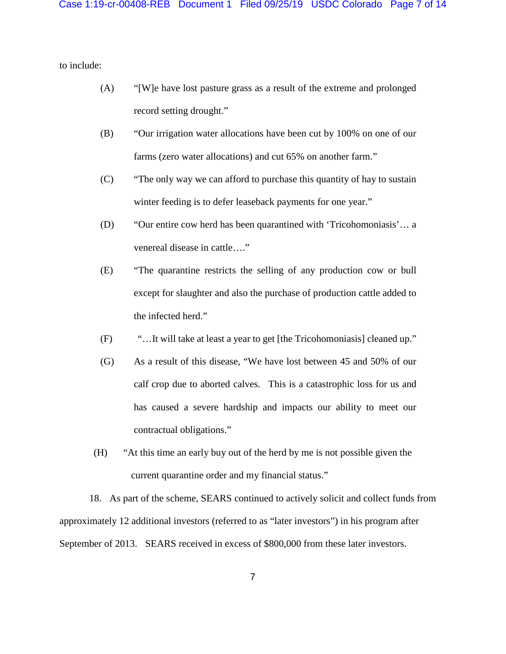to include:

- (A) "[W]e have lost pasture grass as a result of the extreme and prolonged record setting drought."
- (B) "Our irrigation water allocations have been cut by 100% on one of our farms (zero water allocations) and cut 65% on another farm."
- (C) "The only way we can afford to purchase this quantity of hay to sustain winter feeding is to defer leaseback payments for one year."
- (D) "Our entire cow herd has been quarantined with 'Tricohomoniasis'… a venereal disease in cattle…."
- (E) "The quarantine restricts the selling of any production cow or bull except for slaughter and also the purchase of production cattle added to the infected herd."
- (F) "…It will take at least a year to get [the Tricohomoniasis] cleaned up."
- (G) As a result of this disease, "We have lost between 45 and 50% of our calf crop due to aborted calves. This is a catastrophic loss for us and has caused a severe hardship and impacts our ability to meet our contractual obligations."
- (H) "At this time an early buy out of the herd by me is not possible given the current quarantine order and my financial status."

18. As part of the scheme, SEARS continued to actively solicit and collect funds from approximately 12 additional investors (referred to as "later investors") in his program after September of 2013. SEARS received in excess of \$800,000 from these later investors.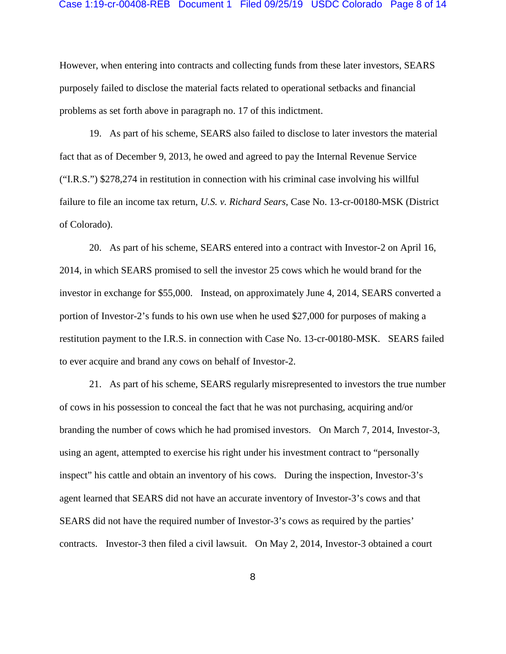#### Case 1:19-cr-00408-REB Document 1 Filed 09/25/19 USDC Colorado Page 8 of 14

However, when entering into contracts and collecting funds from these later investors, SEARS purposely failed to disclose the material facts related to operational setbacks and financial problems as set forth above in paragraph no. 17 of this indictment.

19. As part of his scheme, SEARS also failed to disclose to later investors the material fact that as of December 9, 2013, he owed and agreed to pay the Internal Revenue Service ("I.R.S.") \$278,274 in restitution in connection with his criminal case involving his willful failure to file an income tax return, *U.S. v. Richard Sears*, Case No. 13-cr-00180-MSK (District of Colorado).

20. As part of his scheme, SEARS entered into a contract with Investor-2 on April 16, 2014, in which SEARS promised to sell the investor 25 cows which he would brand for the investor in exchange for \$55,000. Instead, on approximately June 4, 2014, SEARS converted a portion of Investor-2's funds to his own use when he used \$27,000 for purposes of making a restitution payment to the I.R.S. in connection with Case No. 13-cr-00180-MSK. SEARS failed to ever acquire and brand any cows on behalf of Investor-2.

21. As part of his scheme, SEARS regularly misrepresented to investors the true number of cows in his possession to conceal the fact that he was not purchasing, acquiring and/or branding the number of cows which he had promised investors. On March 7, 2014, Investor-3, using an agent, attempted to exercise his right under his investment contract to "personally inspect" his cattle and obtain an inventory of his cows. During the inspection, Investor-3's agent learned that SEARS did not have an accurate inventory of Investor-3's cows and that SEARS did not have the required number of Investor-3's cows as required by the parties' contracts. Investor-3 then filed a civil lawsuit. On May 2, 2014, Investor-3 obtained a court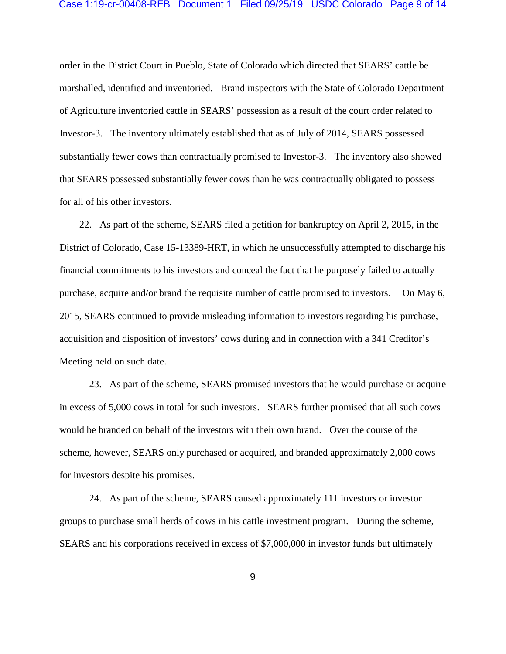# Case 1:19-cr-00408-REB Document 1 Filed 09/25/19 USDC Colorado Page 9 of 14

order in the District Court in Pueblo, State of Colorado which directed that SEARS' cattle be marshalled, identified and inventoried. Brand inspectors with the State of Colorado Department of Agriculture inventoried cattle in SEARS' possession as a result of the court order related to Investor-3. The inventory ultimately established that as of July of 2014, SEARS possessed substantially fewer cows than contractually promised to Investor-3. The inventory also showed that SEARS possessed substantially fewer cows than he was contractually obligated to possess for all of his other investors.

 22. As part of the scheme, SEARS filed a petition for bankruptcy on April 2, 2015, in the District of Colorado, Case 15-13389-HRT, in which he unsuccessfully attempted to discharge his financial commitments to his investors and conceal the fact that he purposely failed to actually purchase, acquire and/or brand the requisite number of cattle promised to investors. On May 6, 2015, SEARS continued to provide misleading information to investors regarding his purchase, acquisition and disposition of investors' cows during and in connection with a 341 Creditor's Meeting held on such date.

23. As part of the scheme, SEARS promised investors that he would purchase or acquire in excess of 5,000 cows in total for such investors. SEARS further promised that all such cows would be branded on behalf of the investors with their own brand. Over the course of the scheme, however, SEARS only purchased or acquired, and branded approximately 2,000 cows for investors despite his promises.

24. As part of the scheme, SEARS caused approximately 111 investors or investor groups to purchase small herds of cows in his cattle investment program. During the scheme, SEARS and his corporations received in excess of \$7,000,000 in investor funds but ultimately

9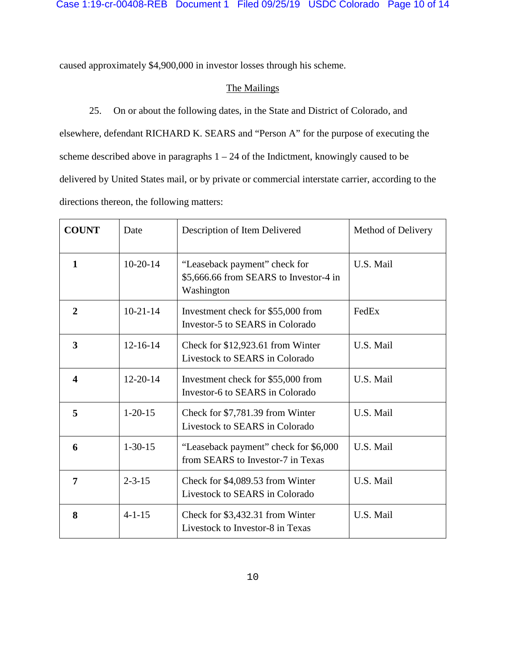caused approximately \$4,900,000 in investor losses through his scheme.

# The Mailings

25. On or about the following dates, in the State and District of Colorado, and elsewhere, defendant RICHARD K. SEARS and "Person A" for the purpose of executing the scheme described above in paragraphs  $1 - 24$  of the Indictment, knowingly caused to be delivered by United States mail, or by private or commercial interstate carrier, according to the directions thereon, the following matters:

| <b>COUNT</b>   | Date           | Description of Item Delivered                                                         | Method of Delivery |
|----------------|----------------|---------------------------------------------------------------------------------------|--------------------|
| $\mathbf{1}$   | $10-20-14$     | "Leaseback payment" check for<br>\$5,666.66 from SEARS to Investor-4 in<br>Washington | U.S. Mail          |
| $\overline{2}$ | $10-21-14$     | Investment check for \$55,000 from<br>Investor-5 to SEARS in Colorado                 | FedEx              |
| 3              | $12 - 16 - 14$ | Check for \$12,923.61 from Winter<br>Livestock to SEARS in Colorado                   | U.S. Mail          |
| 4              | $12 - 20 - 14$ | Investment check for \$55,000 from<br>Investor-6 to SEARS in Colorado                 | U.S. Mail          |
| 5              | $1 - 20 - 15$  | Check for \$7,781.39 from Winter<br>Livestock to SEARS in Colorado                    | U.S. Mail          |
| 6              | $1 - 30 - 15$  | "Leaseback payment" check for \$6,000<br>from SEARS to Investor-7 in Texas            | U.S. Mail          |
| 7              | $2 - 3 - 15$   | Check for \$4,089.53 from Winter<br>Livestock to SEARS in Colorado                    | U.S. Mail          |
| 8              | $4 - 1 - 15$   | Check for \$3,432.31 from Winter<br>Livestock to Investor-8 in Texas                  | U.S. Mail          |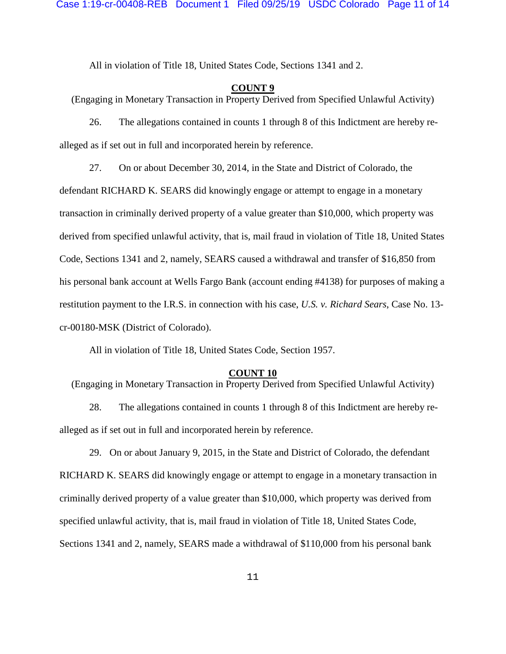All in violation of Title 18, United States Code, Sections 1341 and 2.

### **COUNT 9**

(Engaging in Monetary Transaction in Property Derived from Specified Unlawful Activity)

26. The allegations contained in counts 1 through 8 of this Indictment are hereby realleged as if set out in full and incorporated herein by reference.

27. On or about December 30, 2014, in the State and District of Colorado, the defendant RICHARD K. SEARS did knowingly engage or attempt to engage in a monetary transaction in criminally derived property of a value greater than \$10,000, which property was derived from specified unlawful activity, that is, mail fraud in violation of Title 18, United States Code, Sections 1341 and 2, namely, SEARS caused a withdrawal and transfer of \$16,850 from his personal bank account at Wells Fargo Bank (account ending #4138) for purposes of making a restitution payment to the I.R.S. in connection with his case, *U.S. v. Richard Sears*, Case No. 13 cr-00180-MSK (District of Colorado).

All in violation of Title 18, United States Code, Section 1957.

#### **COUNT 10**

(Engaging in Monetary Transaction in Property Derived from Specified Unlawful Activity)

28. The allegations contained in counts 1 through 8 of this Indictment are hereby realleged as if set out in full and incorporated herein by reference.

29. On or about January 9, 2015, in the State and District of Colorado, the defendant RICHARD K. SEARS did knowingly engage or attempt to engage in a monetary transaction in criminally derived property of a value greater than \$10,000, which property was derived from specified unlawful activity, that is, mail fraud in violation of Title 18, United States Code, Sections 1341 and 2, namely, SEARS made a withdrawal of \$110,000 from his personal bank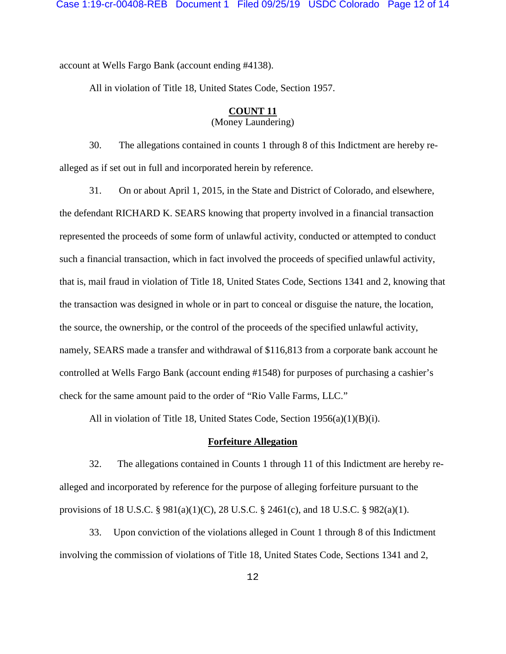account at Wells Fargo Bank (account ending #4138).

All in violation of Title 18, United States Code, Section 1957.

# **COUNT 11**

(Money Laundering)

30. The allegations contained in counts 1 through 8 of this Indictment are hereby realleged as if set out in full and incorporated herein by reference.

31. On or about April 1, 2015, in the State and District of Colorado, and elsewhere, the defendant RICHARD K. SEARS knowing that property involved in a financial transaction represented the proceeds of some form of unlawful activity, conducted or attempted to conduct such a financial transaction, which in fact involved the proceeds of specified unlawful activity, that is, mail fraud in violation of Title 18, United States Code, Sections 1341 and 2, knowing that the transaction was designed in whole or in part to conceal or disguise the nature, the location, the source, the ownership, or the control of the proceeds of the specified unlawful activity, namely, SEARS made a transfer and withdrawal of \$116,813 from a corporate bank account he controlled at Wells Fargo Bank (account ending #1548) for purposes of purchasing a cashier's check for the same amount paid to the order of "Rio Valle Farms, LLC."

All in violation of Title 18, United States Code, Section 1956(a)(1)(B)(i).

# **Forfeiture Allegation**

32. The allegations contained in Counts 1 through 11 of this Indictment are hereby realleged and incorporated by reference for the purpose of alleging forfeiture pursuant to the provisions of 18 U.S.C. §  $981(a)(1)(C)$ , 28 U.S.C. § 2461(c), and 18 U.S.C. §  $982(a)(1)$ .

33. Upon conviction of the violations alleged in Count 1 through 8 of this Indictment involving the commission of violations of Title 18, United States Code, Sections 1341 and 2,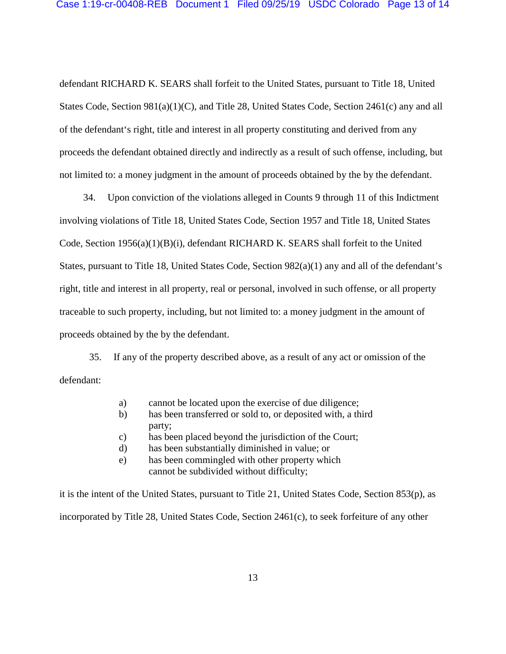defendant RICHARD K. SEARS shall forfeit to the United States, pursuant to Title 18, United States Code, Section 981(a)(1)(C), and Title 28, United States Code, Section 2461(c) any and all of the defendant's right, title and interest in all property constituting and derived from any proceeds the defendant obtained directly and indirectly as a result of such offense, including, but not limited to: a money judgment in the amount of proceeds obtained by the by the defendant.

 34. Upon conviction of the violations alleged in Counts 9 through 11 of this Indictment involving violations of Title 18, United States Code, Section 1957 and Title 18, United States Code, Section 1956(a)(1)(B)(i), defendant RICHARD K. SEARS shall forfeit to the United States, pursuant to Title 18, United States Code, Section 982(a)(1) any and all of the defendant's right, title and interest in all property, real or personal, involved in such offense, or all property traceable to such property, including, but not limited to: a money judgment in the amount of proceeds obtained by the by the defendant.

35. If any of the property described above, as a result of any act or omission of the defendant:

- a) cannot be located upon the exercise of due diligence;
- b) has been transferred or sold to, or deposited with, a third party;
- c) has been placed beyond the jurisdiction of the Court;
- d) has been substantially diminished in value; or
- e) has been commingled with other property which cannot be subdivided without difficulty;

it is the intent of the United States, pursuant to Title 21, United States Code, Section 853(p), as incorporated by Title 28, United States Code, Section 2461(c), to seek forfeiture of any other